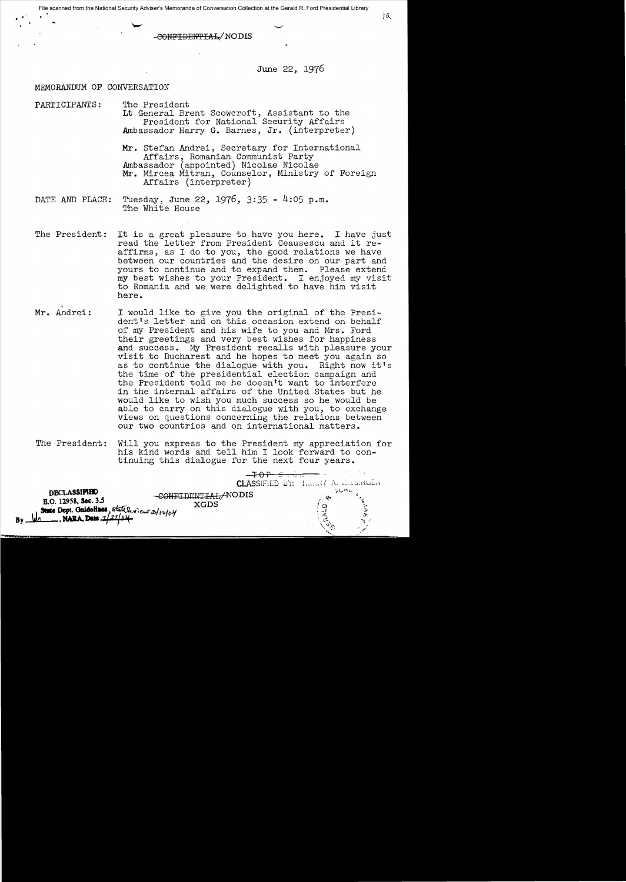• • It\. File scanned from the National Security Adviser's Memoranda of Conversation Collection at the Gerald R. Ford Presidential Library

-CONPIDElN':PIAI,j NO**DIS** 

# June 22, 1976

### MEMORANDUM OF CONVERSATION

PARTICIPANTS: The President Lt General Brent Scowcroft, Assistant to the President for National Security Affairs Ambassador Harry **G.** Barnes, **Jr.** (interpreter)

> **Mr.** Stefan Andrei, Secretary for International Affairs, Romanian Communist Party Ambassador (appointed) Nicolae Nicolae **Mr.** Mircea Mitran, Counselor, Ministry of Foreign Affairs (interpreter)

DATE AND PLACE: Tuesday, June 22, 1976, 3:35 - 4:05 **p.m.**  The White House

- The President: It is a great pleasure to have you here. I have just read the letter from President Ceausescu and it reaffirms, as I do to you, the good relations we have between our countries and the desire on our part and yours to continue and to expand them. Please extend my best wishes to your President. I enjoyed my visit to Romania and we were delighted to have him visit here.
- **Mr.** Andrei: I would like to give you the original of the President's letter and on this occasion extend on behalf of my President and his wife to you and Mrs. Ford their greetings and very best wishes for happiness and success. My President recalls with pleasure your visit to Bucharest and he hopes to meet you again so as to continue the dialogue with you. Right now it's as to continue the dialogue with you. the time of the presidential election campaign and the President told me he doesn't want to interfere in the internal affairs of the United States but he would like to wish you much success so he would be able to carry on this dialogue with you, to exchange views on questions concerning the relations between our two countries and on international matters.
- The President: Will you express to the President my appreciation for his kind words and tell him I look forward to continuing this dialogue for the next four years.

| <b>DECLASSIPIBO</b><br>DENTILAL-ANO DIS<br>B.O. 12958, Sec. 3.5<br>XGDS<br>State Dept. Guidolines, state leview 3/12/04<br>By WARA, Date 1/27/04 | CLASSIFIED BY: HERRY A. KISSINGLIK | シンやん |  |
|--------------------------------------------------------------------------------------------------------------------------------------------------|------------------------------------|------|--|
|--------------------------------------------------------------------------------------------------------------------------------------------------|------------------------------------|------|--|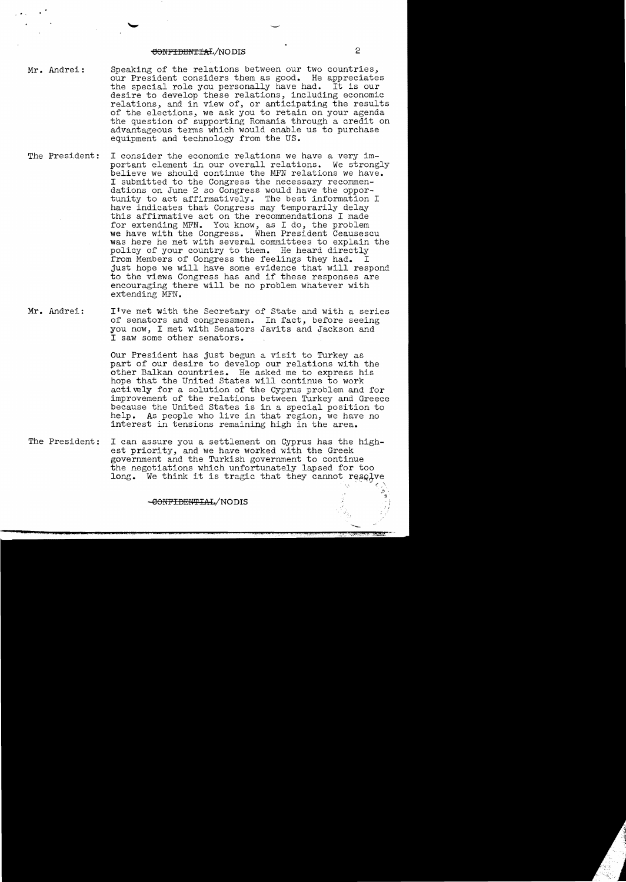# eONFIDENTIAL/NO DIS 2

· .,

- Mr. Andrei: Speaking of the relations between our two countries, our President considers them as good. He appreciates the special role you personally have had. It is our desire to develop these relations, including economic relations, and in view of, or anticipating the results of the elections, we ask you to retain on your agenda the question of supporting Romania through a credit on advantageous terms which would enable us to purchase equipment and technology from the US.
- The President: I consider the economic relations we have a very important element in our overall relations. We strongly believe we should continue the MFN relations we have. I submitted to the Congress the necessary recommendations on June 2 so Congress would have the opportunity to act affirmatively. The best information I have indicates that Congress may temporarily delay this affirmative act on the recommendations I made for extending MFN. You know, as I do, the problem we have with the Congress. When President Ceausescu was here he met with several committees to explain the policy of your country to them. He heard directly from Members of Congress the feelings they had. I just hope we will have some evidence that will respond to the views Congress has and if these responses are encouraging there will be no problem whatever with extending MFN.
- Mr. Andrei: lIve met with the Secretary of State and with a series of senators and congressmen. In fact, before seeing you now, I met with Senators Javits and Jackson and I saw some other senators.

Our President has just begun a visit to Turkey as part of our desire to develop our relations with the other Balkan countries. He asked me to express his hope that the United States will continue to work actively for a solution of the Cyprus problem and for improvement of the relations between Turkey and Greece because the United States is in a special position to help. As people who live in that region, we have no As people who live in that region, we have no interest in tensions remaining high in the area.

The President: I can assure you a settlement on Cyprus has the highest priority, and we have worked with the Greek government and the Turkish government to continue the negotiations which unfortunately lapsed for too  $long.$  We think it is tragic that they cannot resolve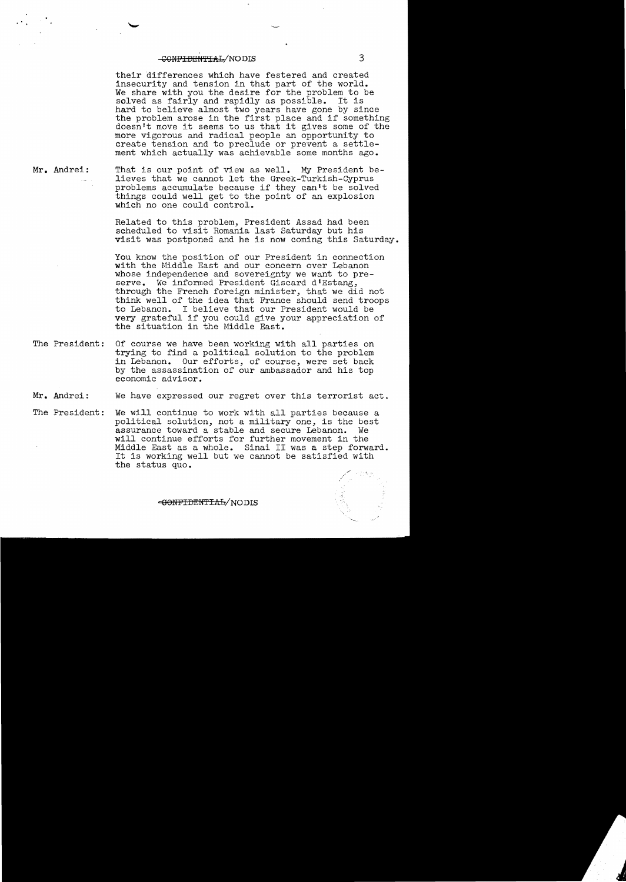# $-**COMF1DENTLAL**/NODIS$  3

their differences which have festered and created insecurity and tension in that part of the world. We share with you the desire for the problem to be solved as fairly and rapidly as possible. It is solved as fairly and rapidly as possible. hard to believe almost two years have gone by since nard to believe almost two years have gone by since<br>the problem arose in the first place and if something<br>doesn't move it seems to us that it gives some of the doesn't move it seems to us that it gives some of the more vigorous and radical people an opportunity to create tension and to preclude or prevent a settlement which actually was achievable some months ago.

**Mr.** Andrei:

 $\cdot$  .

That is our point of view as well. My President believes that we cannot let the Greek-Turkish-Cyprus problems accumulate because if they can't be solved things could well get to the point of an explosion which no one could control.

Related to this problem, President Assad had been scheduled to visit Romania last Saturday but his visit was postponed and he is now coming this Saturday.

You know the position of our President in connection with the Middle East and our concern over Lebanon whose independence and sovereignty we want to preserve. We informed President Giscard d'Estang, through the French foreign minister, that we did not think well of the idea that France should send troops to Lebanon. I believe that our President would be very grateful if you could give your appreciation of the situation in the Middle East.

The President: Of course we have been working with all parties on trying to find a political solution to the problem in Lebanon. Our efforts, of course, were set back by the assassination of our ambassador and his top economic advisor.

**Mr.** Andrei: We have expressed our regret over this terrorist act.

The President: We will continue to work with all parties because a political solution, not a military one, is the best assurance toward a stable and secure Lebanon. We will continue efforts for further movement in the Middle East as a whole. Sinai II was a step forward. It is working well but we cannot be satisfied with the status quo.

c:9OfIFIDEU'I'IAfr/ NO **DIS**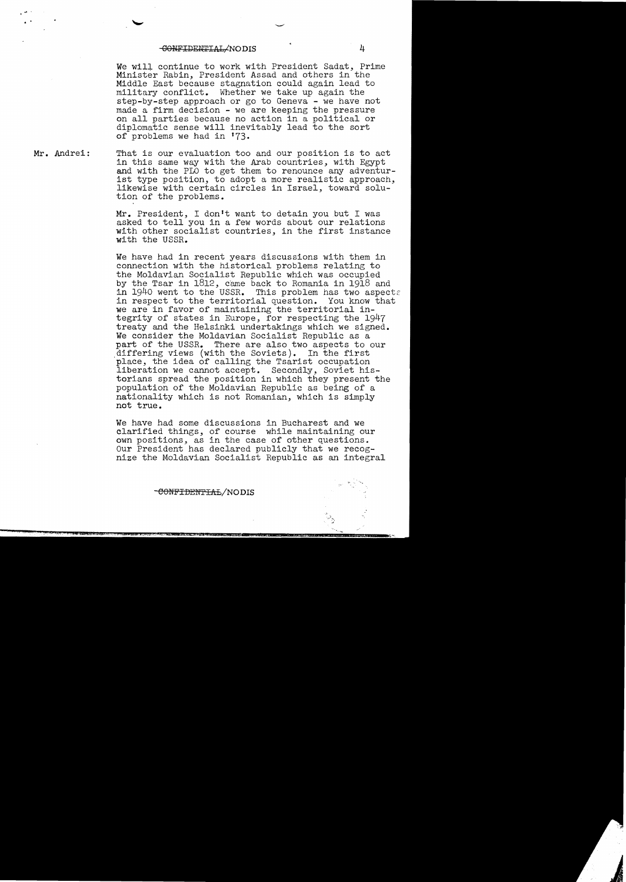#### -CONFIDENTIAL/NODIS 4

·.

We will continue to work with President Sadat, Prime Minister Rabin, President Assad and others in the Middle East because stagnation could again lead to military conflict. Whether we take up again the step-by-step approach or go to Geneva - we have not made a firm decision - we are keeping the pressure on all parties because no action in a political or diplomatic sense will inevitably lead to the sort of problems we had in 173.

**Mr.** Andrei: That is our evaluation too and our position is to act in this same way with the Arab countries, with Egypt and with the PLO to get them to renounce any adventurist type position, to adopt a more realistic approach, likewise with certain circles in Israel, toward solution of the problems.

> **Mr.** President, I don't want to detain you but I was asked to tell you in a few words about our relations with other socialist countries, in the first instance with the USSR.

We have had in recent years discussions with them in connection with the historical problems relating to the Moldavian Socialist Republic which was occupied by the Tsar in 1812, came back to Romania in 1918 and in 1940 went to the USSR. This problem has two aspect This problem has two aspects in respect to the territorial question. You know that we are in favor of maintaining the territorial integrity of states in Europe, for respecting the 1947 treaty and the Helsinki undertakings which we signed. We consider the Moldavian Socialist Republic as a part of the USSR. There are also two aspects to our differing views (with the Soviets). In the first place, the idea of calling the Tsarist occupation liberation we cannot accept. Secondly, Soviet historians spread the position in which they present the population of the Moldavian Republic as being of a nationality which is not Romanian, which is simply not true.

We have had some discussions in Bucharest and we clarified things, of course while maintaining our own positions, as in the case of other questions. Our President has declared publicly that we recog nize the Moldavian Socialist Republic as an integral

-CONFIDENTIAL/NODIS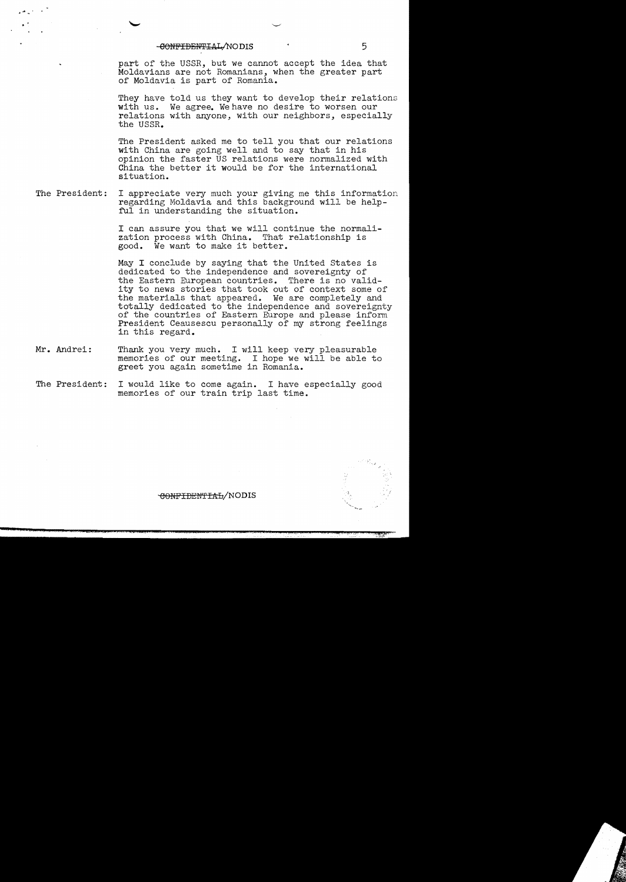### -eONFIDEPiTIl'..I./NO**DIS** 5

.·. '

part of the USSR, but we cannot accept the idea that Moldavians are not Romanians, when the greater part of Moldavia is part of Romania.

They have told us they want to develop their relations with us. We agree. We have no desire to worsen our relations with anyone, with our neighbors, especially the USSR.

The President asked me to tell you that our relations with China are going well and to say that in his opinion the faster US relations were normalized with China the better it would be for the international situation.

The President: I appreciate very much your giving me this information regarding Moldavia and this background will be helpful in understanding the situation.

> I can assure you that we will continue the normalization process with China. That relationship is good. We want to make it better.

May I conclude by saying that the United States is dedicated to the independence and sovereignty of the Eastern European countries. There is no validity to news stories that took out of context some of the materials that appeared. We are completely and totally dedicated to the independence and sovereignty of the countries of Eastern Europe and please inform President Ceausescu personally of my strong feelings in this regard.

- **Mr.** Andrei: Thank you very much. I will keep very pleasurable memories of our meeting. I hope we will be able to greet you again sometime in Romania.
- The President: I would like to come again. I have especially good memories of our train trip last time.



CONFIDENTIAL/NODIS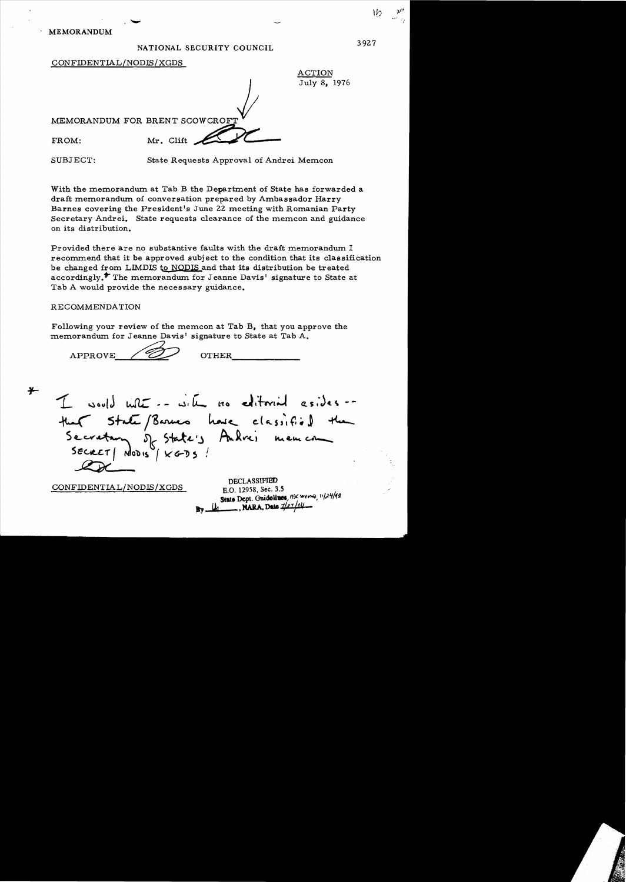### NATIONAL SECURITY COUNCIL

ACTION July 8, 1976

CONFIDENTIAL/NODIS/XGDS

MEMORANDUM FOR BRENT SCOWCROFT FROM: Mr. Clift

SUBJECT: State Requests Approval of Andrei Memcon

With the memorandum at Tab B the Department of State has forwarded a draft memorandum of conversation prepared by Ambassador Harry Barnes covering the President's June 22 meeting with Romanian Party Secretary Andrei. State requests clearance of the memcon and guidance on its distribution.

Provided there are no substantive faults with the draft memorandum I recommend that it be approved subject to the condition that its classification be changed from LIMDIS to NODIS and that its distribution be treated accordingly.<sup>\*</sup> The memorandum for Jeanne Davis' signature to State at Tab A would provide the necessary guidance.

## RECOMMENDATION

Following your review of the memcon at Tab B, that you approve the memorandum for Jeanne Davis' signature to State at Tab A.

APPROVE / <u>U</u> OTHER

 $I$  would with  $I = \omega_1 I$  no editorial esides --CONFIDENTIAL/NODIS/XGDS  $h$ ave  $clasifif.$  $\Gamma$  in Arr ( DECLASSIFIED E.O. 12958. Sec. 3.5 State Dept. Guidolines, no mo, 11/24/48 ., ~ •MARA.DU *1/Jz/011*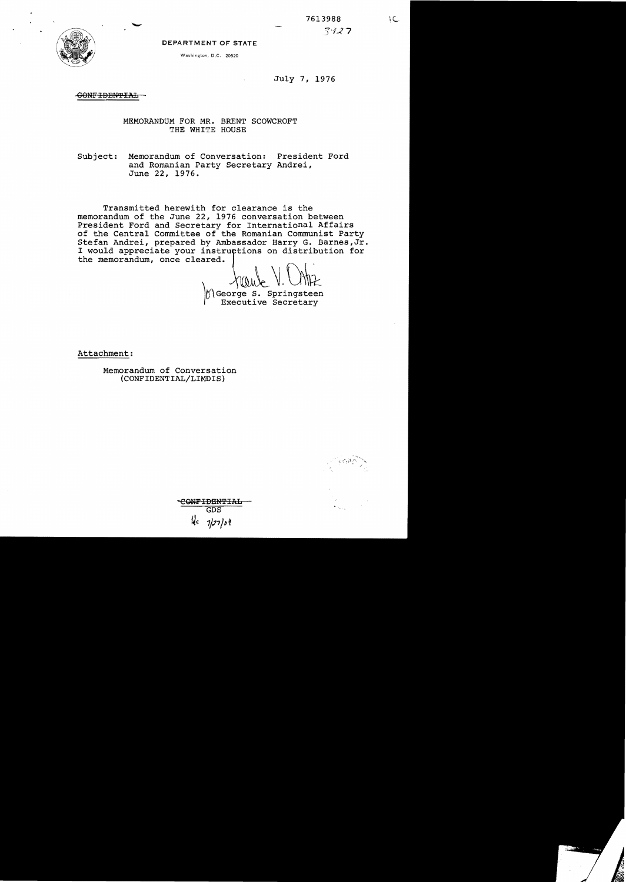

DEPARTMENT OF STATE

Washington. D.C. 20520

July 7, 1976

CONFIDENTIAL

MEMORANDUM FOR MR. BRENT SCOWCROFT THE WHITE HOUSE

Subject: Memorandum of Conversation: President Ford and Romanian Party Secretary Andrei, June 22, 1976.

Transmitted herewith for clearance is the memorandum of the June 22, 1976 conversation between President Ford and Secretary for International Affairs of the Central Committee of the Romanian Communist Party Stefan Andrei, prepared by Ambassador Harry G. Barnes, Jr.<br>I would appreciate your instructions on distribution for<br>the memorandum, once cleared. I would appreciate your instructions on distribution for<br>the memorandum, once cleared.

George S. Springsteen Executive Secretary

Attachment:

Memorandum of Conversation (CONFIDENTIAL/LIMDIS)

'GONF IDENT IAL GDS 1*12*7/04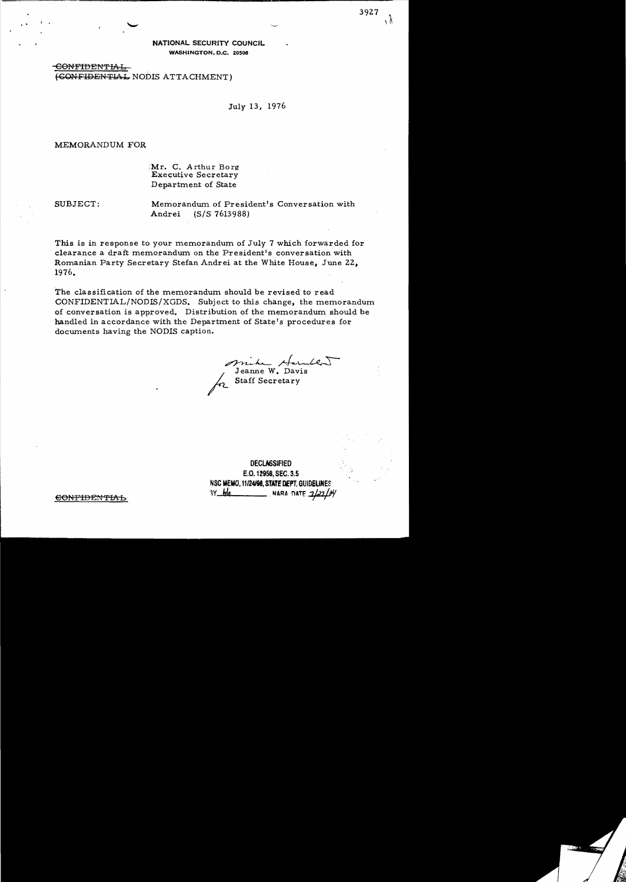NATIONAL SECURITY COUNCIL WASHINGTON, D.C. 20506

CONFIDENT<del>IAL</del> (GONFIDENTIAL NODIS ATTACHMENT)

July 13, 1976

MEMORANDUM FOR

Mr. C. Arthur Borg Executive Secretary Department of State

SUBJECT: Memorandum of President's Conversation with Andrei (S/S 7613988)

This is in response to your memorandum of July 7 which forwarded for clearance a draft memorandum on the President's conversation with Romanian Party Secretary Stefan Andrei at the White House, June 22, 1976.

The classification of the memorandum should be revised to read CONFIDENTLAL/NODIS/XGDS. Subject to this change, the memorandum of conversation is approved. Distribution of the memorandum should be handled in accordance with the Department of State's procedures for documents having the NODIS caption.

r

 $\mathcal{L}$ .  $\mathcal{L}$ . (e.f muhe Harullow

Staff Secretary

**DECLASSIFIED** E.O. 12958, SEC. 3.5 NSC MEMO, 11124198, **STATf** DEPT. GUIDEURES CONFIDENTIAL 3Y MA NARA DATE 2